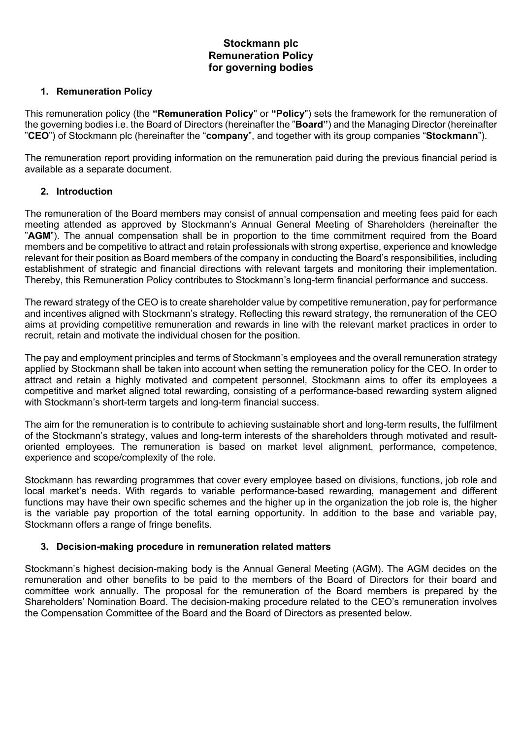# **Stockmann plc Remuneration Policy for governing bodies**

### **1. Remuneration Policy**

This remuneration policy (the **"Remuneration Policy**" or **"Policy**") sets the framework for the remuneration of the governing bodies i.e. the Board of Directors (hereinafter the "**Board"**) and the Managing Director (hereinafter "**CEO**") of Stockmann plc (hereinafter the "**company**", and together with its group companies "**Stockmann**").

The remuneration report providing information on the remuneration paid during the previous financial period is available as a separate document.

#### **2. Introduction**

The remuneration of the Board members may consist of annual compensation and meeting fees paid for each meeting attended as approved by Stockmann's Annual General Meeting of Shareholders (hereinafter the "**AGM**"). The annual compensation shall be in proportion to the time commitment required from the Board members and be competitive to attract and retain professionals with strong expertise, experience and knowledge relevant for their position as Board members of the company in conducting the Board's responsibilities, including establishment of strategic and financial directions with relevant targets and monitoring their implementation. Thereby, this Remuneration Policy contributes to Stockmann's long-term financial performance and success.

The reward strategy of the CEO is to create shareholder value by competitive remuneration, pay for performance and incentives aligned with Stockmann's strategy. Reflecting this reward strategy, the remuneration of the CEO aims at providing competitive remuneration and rewards in line with the relevant market practices in order to recruit, retain and motivate the individual chosen for the position.

The pay and employment principles and terms of Stockmann's employees and the overall remuneration strategy applied by Stockmann shall be taken into account when setting the remuneration policy for the CEO. In order to attract and retain a highly motivated and competent personnel, Stockmann aims to offer its employees a competitive and market aligned total rewarding, consisting of a performance-based rewarding system aligned with Stockmann's short-term targets and long-term financial success.

The aim for the remuneration is to contribute to achieving sustainable short and long-term results, the fulfilment of the Stockmann's strategy, values and long-term interests of the shareholders through motivated and resultoriented employees. The remuneration is based on market level alignment, performance, competence, experience and scope/complexity of the role.

Stockmann has rewarding programmes that cover every employee based on divisions, functions, job role and local market's needs. With regards to variable performance-based rewarding, management and different functions may have their own specific schemes and the higher up in the organization the job role is, the higher is the variable pay proportion of the total earning opportunity. In addition to the base and variable pay, Stockmann offers a range of fringe benefits.

#### **3. Decision-making procedure in remuneration related matters**

Stockmann's highest decision-making body is the Annual General Meeting (AGM). The AGM decides on the remuneration and other benefits to be paid to the members of the Board of Directors for their board and committee work annually. The proposal for the remuneration of the Board members is prepared by the Shareholders' Nomination Board. The decision-making procedure related to the CEO's remuneration involves the Compensation Committee of the Board and the Board of Directors as presented below.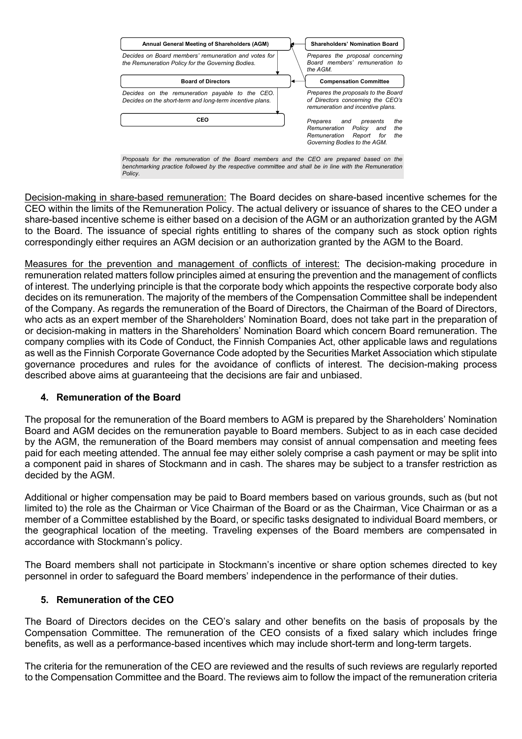

Decision-making in share-based remuneration: The Board decides on share-based incentive schemes for the CEO within the limits of the Remuneration Policy. The actual delivery or issuance of shares to the CEO under a share-based incentive scheme is either based on a decision of the AGM or an authorization granted by the AGM to the Board. The issuance of special rights entitling to shares of the company such as stock option rights correspondingly either requires an AGM decision or an authorization granted by the AGM to the Board.

Measures for the prevention and management of conflicts of interest: The decision-making procedure in remuneration related matters follow principles aimed at ensuring the prevention and the management of conflicts of interest. The underlying principle is that the corporate body which appoints the respective corporate body also decides on its remuneration. The majority of the members of the Compensation Committee shall be independent of the Company. As regards the remuneration of the Board of Directors, the Chairman of the Board of Directors, who acts as an expert member of the Shareholders' Nomination Board, does not take part in the preparation of or decision-making in matters in the Shareholders' Nomination Board which concern Board remuneration. The company complies with its Code of Conduct, the Finnish Companies Act, other applicable laws and regulations as well as the Finnish Corporate Governance Code adopted by the Securities Market Association which stipulate governance procedures and rules for the avoidance of conflicts of interest. The decision-making process described above aims at guaranteeing that the decisions are fair and unbiased.

#### **4. Remuneration of the Board**

The proposal for the remuneration of the Board members to AGM is prepared by the Shareholders' Nomination Board and AGM decides on the remuneration payable to Board members. Subject to as in each case decided by the AGM, the remuneration of the Board members may consist of annual compensation and meeting fees paid for each meeting attended. The annual fee may either solely comprise a cash payment or may be split into a component paid in shares of Stockmann and in cash. The shares may be subject to a transfer restriction as decided by the AGM.

Additional or higher compensation may be paid to Board members based on various grounds, such as (but not limited to) the role as the Chairman or Vice Chairman of the Board or as the Chairman, Vice Chairman or as a member of a Committee established by the Board, or specific tasks designated to individual Board members, or the geographical location of the meeting. Traveling expenses of the Board members are compensated in accordance with Stockmann's policy.

The Board members shall not participate in Stockmann's incentive or share option schemes directed to key personnel in order to safeguard the Board members' independence in the performance of their duties.

#### **5. Remuneration of the CEO**

The Board of Directors decides on the CEO's salary and other benefits on the basis of proposals by the Compensation Committee. The remuneration of the CEO consists of a fixed salary which includes fringe benefits, as well as a performance-based incentives which may include short-term and long-term targets.

The criteria for the remuneration of the CEO are reviewed and the results of such reviews are regularly reported to the Compensation Committee and the Board. The reviews aim to follow the impact of the remuneration criteria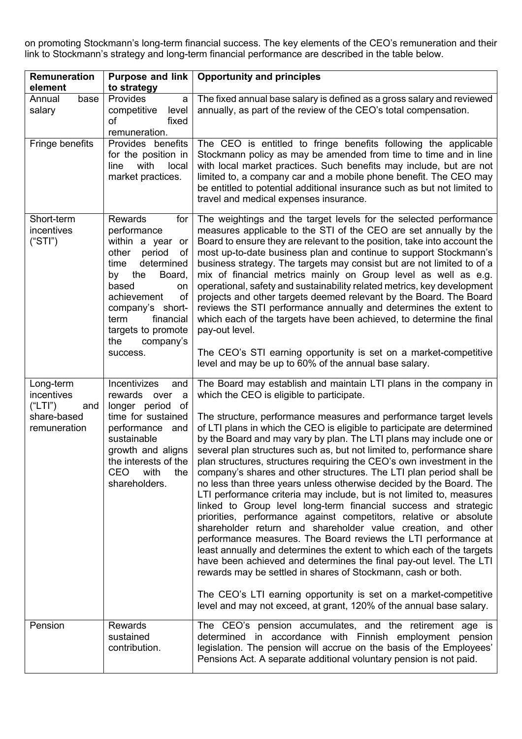on promoting Stockmann's long-term financial success. The key elements of the CEO's remuneration and their link to Stockmann's strategy and long-term financial performance are described in the table below.

| Remuneration<br>element                       | <b>Purpose and link</b><br>to strategy                                                                                                                                                                                                                            | <b>Opportunity and principles</b>                                                                                                                                                                                                                                                                                                                                                                                                                                                                                                                                                                                                                                                                                                                                                                                                                                                                                                                                                                                                                                                                                                                          |
|-----------------------------------------------|-------------------------------------------------------------------------------------------------------------------------------------------------------------------------------------------------------------------------------------------------------------------|------------------------------------------------------------------------------------------------------------------------------------------------------------------------------------------------------------------------------------------------------------------------------------------------------------------------------------------------------------------------------------------------------------------------------------------------------------------------------------------------------------------------------------------------------------------------------------------------------------------------------------------------------------------------------------------------------------------------------------------------------------------------------------------------------------------------------------------------------------------------------------------------------------------------------------------------------------------------------------------------------------------------------------------------------------------------------------------------------------------------------------------------------------|
| base<br>Annual<br>salary                      | Provides<br>a<br>competitive<br>level<br>οf<br>fixed<br>remuneration.                                                                                                                                                                                             | The fixed annual base salary is defined as a gross salary and reviewed<br>annually, as part of the review of the CEO's total compensation.                                                                                                                                                                                                                                                                                                                                                                                                                                                                                                                                                                                                                                                                                                                                                                                                                                                                                                                                                                                                                 |
| Fringe benefits                               | Provides benefits<br>for the position in<br>with<br>line<br>local<br>market practices.                                                                                                                                                                            | The CEO is entitled to fringe benefits following the applicable<br>Stockmann policy as may be amended from time to time and in line<br>with local market practices. Such benefits may include, but are not<br>limited to, a company car and a mobile phone benefit. The CEO may<br>be entitled to potential additional insurance such as but not limited to<br>travel and medical expenses insurance.                                                                                                                                                                                                                                                                                                                                                                                                                                                                                                                                                                                                                                                                                                                                                      |
| Short-term<br>incentives<br>("STI")           | <b>Rewards</b><br>for<br>performance<br>within a year<br>or<br>other<br>period<br>0f<br>determined<br>time<br>by the<br>Board,<br>based<br>on<br>achievement<br>of<br>company's short-<br>term<br>financial<br>targets to promote<br>the<br>company's<br>success. | The weightings and the target levels for the selected performance<br>measures applicable to the STI of the CEO are set annually by the<br>Board to ensure they are relevant to the position, take into account the<br>most up-to-date business plan and continue to support Stockmann's<br>business strategy. The targets may consist but are not limited to of a<br>mix of financial metrics mainly on Group level as well as e.g.<br>operational, safety and sustainability related metrics, key development<br>projects and other targets deemed relevant by the Board. The Board<br>reviews the STI performance annually and determines the extent to<br>which each of the targets have been achieved, to determine the final<br>pay-out level.<br>The CEO's STI earning opportunity is set on a market-competitive<br>level and may be up to 60% of the annual base salary.                                                                                                                                                                                                                                                                           |
| Long-term<br>incentives                       | Incentivizes<br>and<br>rewards over<br>a<br>longer period<br>of                                                                                                                                                                                                   | The Board may establish and maintain LTI plans in the company in<br>which the CEO is eligible to participate.                                                                                                                                                                                                                                                                                                                                                                                                                                                                                                                                                                                                                                                                                                                                                                                                                                                                                                                                                                                                                                              |
| ("LTI")<br>and<br>share-based<br>remuneration | time for sustained<br>performance<br>and<br>sustainable<br>growth and aligns<br>the interests of the<br>CEO<br>the<br>with<br>shareholders.                                                                                                                       | The structure, performance measures and performance target levels<br>of LTI plans in which the CEO is eligible to participate are determined<br>by the Board and may vary by plan. The LTI plans may include one or<br>several plan structures such as, but not limited to, performance share<br>plan structures, structures requiring the CEO's own investment in the<br>company's shares and other structures. The LTI plan period shall be<br>no less than three years unless otherwise decided by the Board. The<br>LTI performance criteria may include, but is not limited to, measures<br>linked to Group level long-term financial success and strategic<br>priorities, performance against competitors, relative or absolute<br>shareholder return and shareholder value creation, and other<br>performance measures. The Board reviews the LTI performance at<br>least annually and determines the extent to which each of the targets<br>have been achieved and determines the final pay-out level. The LTI<br>rewards may be settled in shares of Stockmann, cash or both.<br>The CEO's LTI earning opportunity is set on a market-competitive |
|                                               |                                                                                                                                                                                                                                                                   | level and may not exceed, at grant, 120% of the annual base salary.                                                                                                                                                                                                                                                                                                                                                                                                                                                                                                                                                                                                                                                                                                                                                                                                                                                                                                                                                                                                                                                                                        |
| Pension                                       | Rewards<br>sustained<br>contribution.                                                                                                                                                                                                                             | The CEO's pension accumulates, and the retirement age is<br>determined in accordance with Finnish employment pension<br>legislation. The pension will accrue on the basis of the Employees'<br>Pensions Act. A separate additional voluntary pension is not paid.                                                                                                                                                                                                                                                                                                                                                                                                                                                                                                                                                                                                                                                                                                                                                                                                                                                                                          |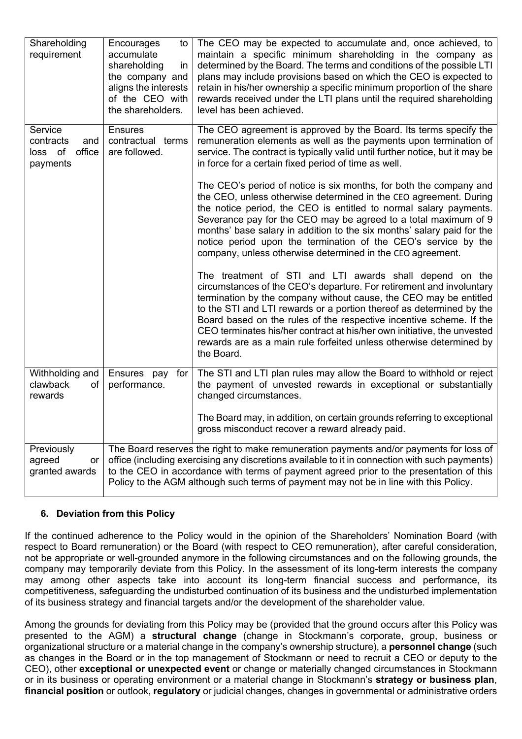| Shareholding<br>requirement                                  | Encourages<br>to<br>accumulate<br>shareholding<br>in<br>the company and<br>aligns the interests<br>of the CEO with<br>the shareholders.                                                                                                                                                                                                                                      | The CEO may be expected to accumulate and, once achieved, to<br>maintain a specific minimum shareholding in the company as<br>determined by the Board. The terms and conditions of the possible LTI<br>plans may include provisions based on which the CEO is expected to<br>retain in his/her ownership a specific minimum proportion of the share<br>rewards received under the LTI plans until the required shareholding<br>level has been achieved.                                                             |
|--------------------------------------------------------------|------------------------------------------------------------------------------------------------------------------------------------------------------------------------------------------------------------------------------------------------------------------------------------------------------------------------------------------------------------------------------|---------------------------------------------------------------------------------------------------------------------------------------------------------------------------------------------------------------------------------------------------------------------------------------------------------------------------------------------------------------------------------------------------------------------------------------------------------------------------------------------------------------------|
| Service<br>contracts<br>and<br>loss of<br>office<br>payments | <b>Ensures</b><br>contractual terms<br>are followed.                                                                                                                                                                                                                                                                                                                         | The CEO agreement is approved by the Board. Its terms specify the<br>remuneration elements as well as the payments upon termination of<br>service. The contract is typically valid until further notice, but it may be<br>in force for a certain fixed period of time as well.                                                                                                                                                                                                                                      |
|                                                              |                                                                                                                                                                                                                                                                                                                                                                              | The CEO's period of notice is six months, for both the company and<br>the CEO, unless otherwise determined in the CEO agreement. During<br>the notice period, the CEO is entitled to normal salary payments.<br>Severance pay for the CEO may be agreed to a total maximum of 9<br>months' base salary in addition to the six months' salary paid for the<br>notice period upon the termination of the CEO's service by the<br>company, unless otherwise determined in the CEO agreement.                           |
|                                                              |                                                                                                                                                                                                                                                                                                                                                                              | The treatment of STI and LTI awards shall depend on the<br>circumstances of the CEO's departure. For retirement and involuntary<br>termination by the company without cause, the CEO may be entitled<br>to the STI and LTI rewards or a portion thereof as determined by the<br>Board based on the rules of the respective incentive scheme. If the<br>CEO terminates his/her contract at his/her own initiative, the unvested<br>rewards are as a main rule forfeited unless otherwise determined by<br>the Board. |
| Withholding and<br>clawback<br>οf<br>rewards                 | Ensures pay<br>for<br>performance.                                                                                                                                                                                                                                                                                                                                           | The STI and LTI plan rules may allow the Board to withhold or reject<br>the payment of unvested rewards in exceptional or substantially<br>changed circumstances.                                                                                                                                                                                                                                                                                                                                                   |
|                                                              |                                                                                                                                                                                                                                                                                                                                                                              | The Board may, in addition, on certain grounds referring to exceptional<br>gross misconduct recover a reward already paid.                                                                                                                                                                                                                                                                                                                                                                                          |
| Previously<br>agreed<br>or<br>granted awards                 | The Board reserves the right to make remuneration payments and/or payments for loss of<br>office (including exercising any discretions available to it in connection with such payments)<br>to the CEO in accordance with terms of payment agreed prior to the presentation of this<br>Policy to the AGM although such terms of payment may not be in line with this Policy. |                                                                                                                                                                                                                                                                                                                                                                                                                                                                                                                     |

# **6. Deviation from this Policy**

If the continued adherence to the Policy would in the opinion of the Shareholders' Nomination Board (with respect to Board remuneration) or the Board (with respect to CEO remuneration), after careful consideration, not be appropriate or well-grounded anymore in the following circumstances and on the following grounds, the company may temporarily deviate from this Policy. In the assessment of its long-term interests the company may among other aspects take into account its long-term financial success and performance, its competitiveness, safeguarding the undisturbed continuation of its business and the undisturbed implementation of its business strategy and financial targets and/or the development of the shareholder value.

Among the grounds for deviating from this Policy may be (provided that the ground occurs after this Policy was presented to the AGM) a **structural change** (change in Stockmann's corporate, group, business or organizational structure or a material change in the company's ownership structure), a **personnel change** (such as changes in the Board or in the top management of Stockmann or need to recruit a CEO or deputy to the CEO), other **exceptional or unexpected event** or change or materially changed circumstances in Stockmann or in its business or operating environment or a material change in Stockmann's **strategy or business plan**, **financial position** or outlook, **regulatory** or judicial changes, changes in governmental or administrative orders